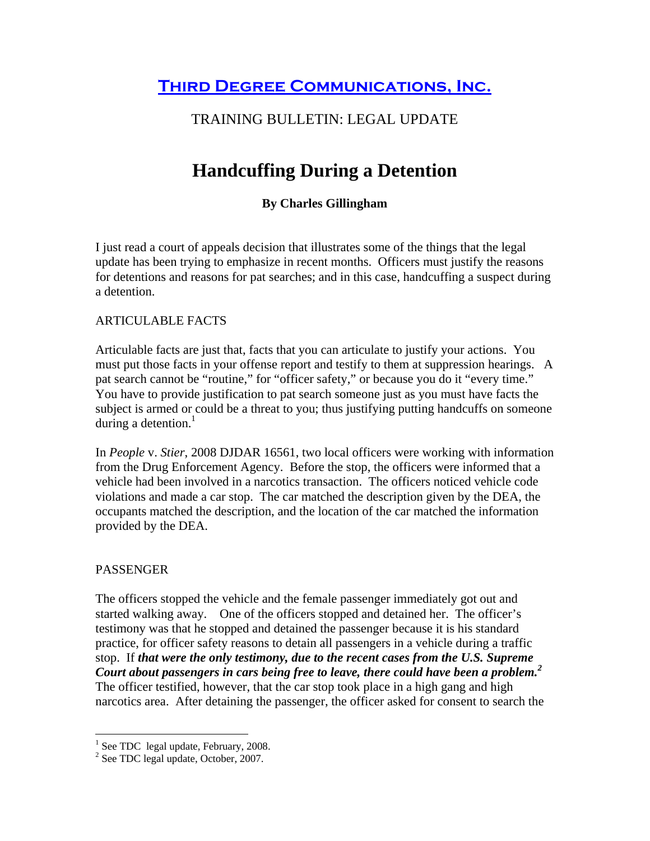**THIRD DEGREE COMMUNICATIONS, INC.** 

## TRAINING BULLETIN: LEGAL UPDATE

# **Handcuffing During a Detention**

### **By Charles Gillingham**

I just read a court of appeals decision that illustrates some of the things that the legal update has been trying to emphasize in recent months. Officers must justify the reasons for detentions and reasons for pat searches; and in this case, handcuffing a suspect during a detention.

#### ARTICULABLE FACTS

Articulable facts are just that, facts that you can articulate to justify your actions. You must put those facts in your offense report and testify to them at suppression hearings. A pat search cannot be "routine," for "officer safety," or because you do it "every time." You have to provide justification to pat search someone just as you must have facts the subject is armed or could be a threat to you; thus justifying putting handcuffs on someone during a detention. $<sup>1</sup>$ </sup>

In *People* v. *Stier*, 2008 DJDAR 16561, two local officers were working with information from the Drug Enforcement Agency. Before the stop, the officers were informed that a vehicle had been involved in a narcotics transaction. The officers noticed vehicle code violations and made a car stop. The car matched the description given by the DEA, the occupants matched the description, and the location of the car matched the information provided by the DEA.

#### PASSENGER

The officers stopped the vehicle and the female passenger immediately got out and started walking away. One of the officers stopped and detained her. The officer's testimony was that he stopped and detained the passenger because it is his standard practice, for officer safety reasons to detain all passengers in a vehicle during a traffic stop. If *that were the only testimony, due to the recent cases from the U.S. Supreme Court about passengers in cars being free to leave, there could have been a problem.2* The officer testified, however, that the car stop took place in a high gang and high narcotics area. After detaining the passenger, the officer asked for consent to search the

 1 See TDC legal update, February, 2008. 2 See TDC legal update, October, 2007.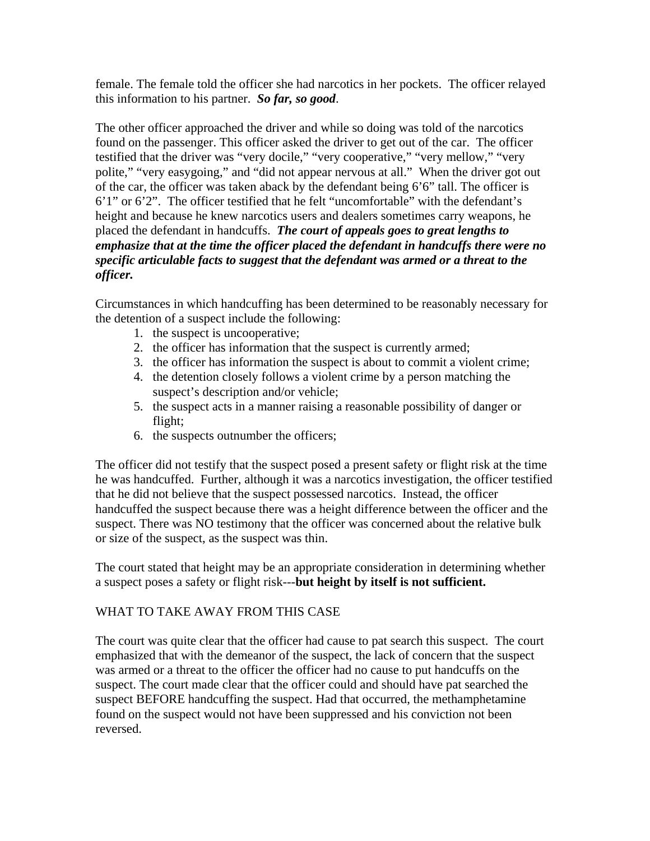female. The female told the officer she had narcotics in her pockets. The officer relayed this information to his partner. *So far, so good*.

The other officer approached the driver and while so doing was told of the narcotics found on the passenger. This officer asked the driver to get out of the car. The officer testified that the driver was "very docile," "very cooperative," "very mellow," "very polite," "very easygoing," and "did not appear nervous at all." When the driver got out of the car, the officer was taken aback by the defendant being 6'6" tall. The officer is 6'1" or 6'2". The officer testified that he felt "uncomfortable" with the defendant's height and because he knew narcotics users and dealers sometimes carry weapons, he placed the defendant in handcuffs. *The court of appeals goes to great lengths to emphasize that at the time the officer placed the defendant in handcuffs there were no specific articulable facts to suggest that the defendant was armed or a threat to the officer.*

Circumstances in which handcuffing has been determined to be reasonably necessary for the detention of a suspect include the following:

- 1. the suspect is uncooperative;
- 2. the officer has information that the suspect is currently armed;
- 3. the officer has information the suspect is about to commit a violent crime;
- 4. the detention closely follows a violent crime by a person matching the suspect's description and/or vehicle;
- 5. the suspect acts in a manner raising a reasonable possibility of danger or flight;
- 6. the suspects outnumber the officers;

The officer did not testify that the suspect posed a present safety or flight risk at the time he was handcuffed. Further, although it was a narcotics investigation, the officer testified that he did not believe that the suspect possessed narcotics. Instead, the officer handcuffed the suspect because there was a height difference between the officer and the suspect. There was NO testimony that the officer was concerned about the relative bulk or size of the suspect, as the suspect was thin.

The court stated that height may be an appropriate consideration in determining whether a suspect poses a safety or flight risk---**but height by itself is not sufficient.** 

#### WHAT TO TAKE AWAY FROM THIS CASE

The court was quite clear that the officer had cause to pat search this suspect. The court emphasized that with the demeanor of the suspect, the lack of concern that the suspect was armed or a threat to the officer the officer had no cause to put handcuffs on the suspect. The court made clear that the officer could and should have pat searched the suspect BEFORE handcuffing the suspect. Had that occurred, the methamphetamine found on the suspect would not have been suppressed and his conviction not been reversed.